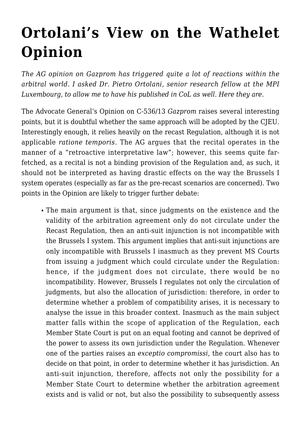## **[Ortolani's View on the Wathelet](https://conflictoflaws.net/2014/ortolanis-view-on-the-wathelet-opinion/) [Opinion](https://conflictoflaws.net/2014/ortolanis-view-on-the-wathelet-opinion/)**

*The AG opinion on Gazprom has triggered quite a lot of reactions within the arbitral world. I asked Dr. Pietro Ortolani, senior research fellow at the MPI Luxembourg, to allow me to have his published in CoL as well. Here they are.*

The Advocate General's Opinion on C-536/13 *Gazprom* raises several interesting points, but it is doubtful whether the same approach will be adopted by the CJEU. Interestingly enough, it relies heavily on the recast Regulation, although it is not applicable *ratione temporis*. The AG argues that the recital operates in the manner of a "retroactive interpretative law"; however, this seems quite farfetched, as a recital is not a binding provision of the Regulation and, as such, it should not be interpreted as having drastic effects on the way the Brussels I system operates (especially as far as the pre-recast scenarios are concerned). Two points in the Opinion are likely to trigger further debate:

The main argument is that, since judgments on the existence and the validity of the arbitration agreement only do not circulate under the Recast Regulation, then an anti-suit injunction is not incompatible with the Brussels I system. This argument implies that anti-suit injunctions are only incompatible with Brussels I inasmuch as they prevent MS Courts from issuing a judgment which could circulate under the Regulation: hence, if the judgment does not circulate, there would be no incompatibility. However, Brussels I regulates not only the circulation of judgments, but also the allocation of jurisdiction: therefore, in order to determine whether a problem of compatibility arises, it is necessary to analyse the issue in this broader context. Inasmuch as the main subject matter falls within the scope of application of the Regulation, each Member State Court is put on an equal footing and cannot be deprived of the power to assess its own jurisdiction under the Regulation. Whenever one of the parties raises an *exceptio compromissi*, the court also has to decide on that point, in order to determine whether it has jurisdiction. An anti-suit injunction, therefore, affects not only the possibility for a Member State Court to determine whether the arbitration agreement exists and is valid or not, but also the possibility to subsequently assess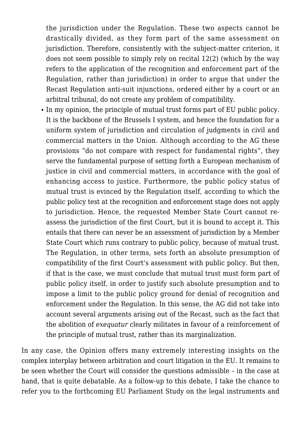the jurisdiction under the Regulation. These two aspects cannot be drastically divided, as they form part of the same assessment on jurisdiction. Therefore, consistently with the subject-matter criterion, it does not seem possible to simply rely on recital 12(2) (which by the way refers to the application of the recognition and enforcement part of the Regulation, rather than jurisdiction) in order to argue that under the Recast Regulation anti-suit injunctions, ordered either by a court or an arbitral tribunal, do not create any problem of compatibility.

In my opinion, the principle of mutual trust forms part of EU public policy. It is the backbone of the Brussels I system, and hence the foundation for a uniform system of jurisdiction and circulation of judgments in civil and commercial matters in the Union. Although according to the AG these provisions "do not compare with respect for fundamental rights", they serve the fundamental purpose of setting forth a European mechanism of justice in civil and commercial matters, in accordance with the goal of enhancing access to justice. Furthermore, the public policy status of mutual trust is evinced by the Regulation itself, according to which the public policy test at the recognition and enforcement stage does not apply to jurisdiction. Hence, the requested Member State Court cannot reassess the jurisdiction of the first Court, but it is bound to accept it. This entails that there can never be an assessment of jurisdiction by a Member State Court which runs contrary to public policy, because of mutual trust. The Regulation, in other terms, sets forth an absolute presumption of compatibility of the first Court's assessment with public policy. But then, if that is the case, we must conclude that mutual trust must form part of public policy itself, in order to justify such absolute presumption and to impose a limit to the public policy ground for denial of recognition and enforcement under the Regulation. In this sense, the AG did not take into account several arguments arising out of the Recast, such as the fact that the abolition of *exequatur* clearly militates in favour of a reinforcement of the principle of mutual trust, rather than its marginalization.

In any case, the Opinion offers many extremely interesting insights on the complex interplay between arbitration and court litigation in the EU. It remains to be seen whether the Court will consider the questions admissible – in the case at hand, that is quite debatable. As a follow-up to this debate, I take the chance to refer you to the forthcoming EU Parliament Study on the legal instruments and